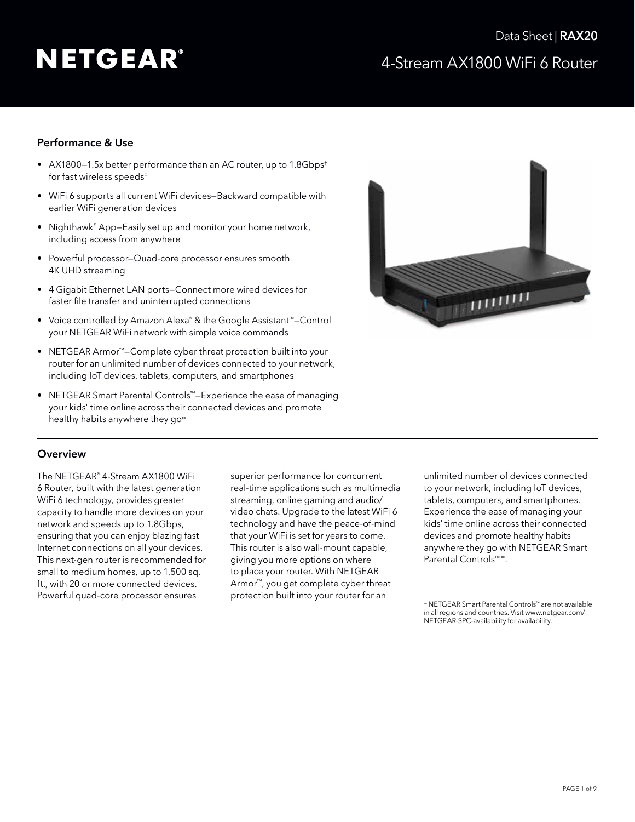# 4-Stream AX1800 WiFi 6 Router Data Sheet | RAX20

### Performance & Use

- AX1800—1.5x better performance than an AC router, up to 1.8Gbps† for fast wireless speeds‡
- WiFi 6 supports all current WiFi devices—Backward compatible with earlier WiFi generation devices
- Nighthawk® App-Easily set up and monitor your home network, including access from anywhere
- Powerful processor—Quad-core processor ensures smooth 4K UHD streaming
- 4 Gigabit Ethernet LAN ports—Connect more wired devices for faster file transfer and uninterrupted connections
- Voice controlled by Amazon Alexa® & the Google Assistant™—Control your NETGEAR WiFi network with simple voice commands
- NETGEAR Armor™—Complete cyber threat protection built into your router for an unlimited number of devices connected to your network, including IoT devices, tablets, computers, and smartphones
- NETGEAR Smart Parental Controls™—Experience the ease of managing your kids' time online across their connected devices and promote healthy habits anywhere they go<sup>∞</sup>



### **Overview**

The NETGEAR® 4-Stream AX1800 WiFi 6 Router, built with the latest generation WiFi 6 technology, provides greater capacity to handle more devices on your network and speeds up to 1.8Gbps, ensuring that you can enjoy blazing fast Internet connections on all your devices. This next-gen router is recommended for small to medium homes, up to 1,500 sq. ft., with 20 or more connected devices. Powerful quad-core processor ensures

superior performance for concurrent real-time applications such as multimedia streaming, online gaming and audio/ video chats. Upgrade to the latest WiFi 6 technology and have the peace-of-mind that your WiFi is set for years to come. This router is also wall-mount capable, giving you more options on where to place your router. With NETGEAR Armor™, you get complete cyber threat protection built into your router for an

unlimited number of devices connected to your network, including IoT devices, tablets, computers, and smartphones. Experience the ease of managing your kids' time online across their connected devices and promote healthy habits anywhere they go with NETGEAR Smart Parental Controls™<sup>®</sup>.

<sup>∞</sup> NETGEAR Smart Parental Controls™ are not available in all regions and countries. Visit [www.netgear.com/](http://www.netgear.com/NETGEAR-SPC-availability) [NETGEAR-SPC-availability](http://www.netgear.com/NETGEAR-SPC-availability) for availability.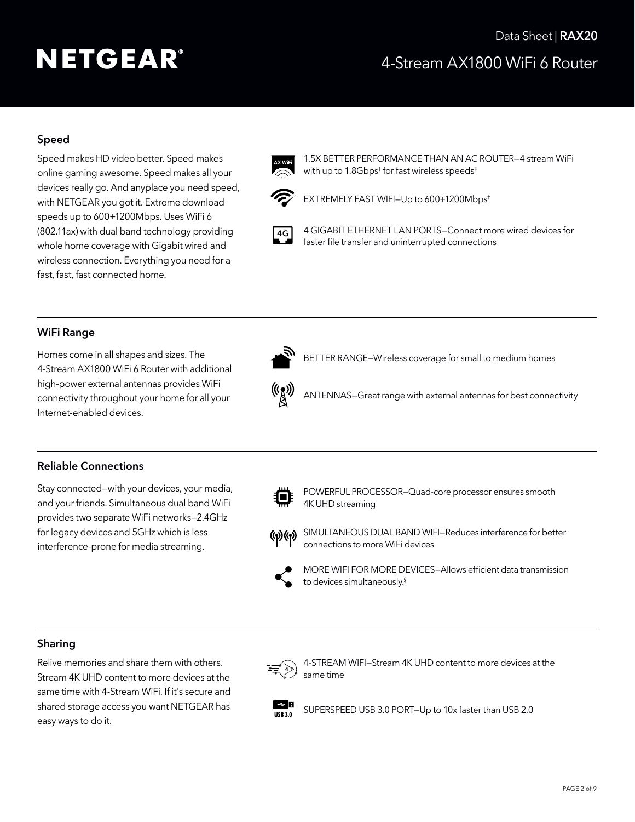# 4-Stream AX1800 WiFi 6 Router Data Sheet | RAX20

## Speed

Speed makes HD video better. Speed makes online gaming awesome. Speed makes all your devices really go. And anyplace you need speed, with NETGEAR you got it. Extreme download speeds up to 600+1200Mbps. Uses WiFi 6 (802.11ax) with dual band technology providing whole home coverage with Gigabit wired and wireless connection. Everything you need for a fast, fast, fast connected home.



 1.5X BETTER PERFORMANCE THAN AN AC ROUTER—4 stream WiFi with up to 1.8Gbps<sup>†</sup> for fast wireless speeds<sup>‡</sup>



EXTREMELY FAST WIFI—Up to 600+1200Mbps†



 4 GIGABIT ETHERNET LAN PORTS—Connect more wired devices for faster file transfer and uninterrupted connections

### WiFi Range

Homes come in all shapes and sizes. The 4-Stream AX1800 WiFi 6 Router with additional high-power external antennas provides WiFi connectivity throughout your home for all your Internet-enabled devices.



BETTER RANGE—Wireless coverage for small to medium homes



ANTENNAS—Great range with external antennas for best connectivity

### Reliable Connections

Stay connected—with your devices, your media, and your friends. Simultaneous dual band WiFi provides two separate WiFi networks—2.4GHz for legacy devices and 5GHz which is less interference-prone for media streaming.



 POWERFUL PROCESSOR—Quad-core processor ensures smooth 4K UHD streaming



(v) (v) SIMULTANEOUS DUAL BAND WIFI–Reduces interference for better connections to more WiFi devices

 MORE WIFI FOR MORE DEVICES—Allows efficient data transmission to devices simultaneously.§

#### Sharing

Relive memories and share them with others. Stream 4K UHD content to more devices at the same time with 4-Stream WiFi. If it's secure and shared storage access you want NETGEAR has easy ways to do it.



 4-STREAM WIFI—Stream 4K UHD content to more devices at the same time



SUPERSPEED USB 3.0 PORT-Up to 10x faster than USB 2.0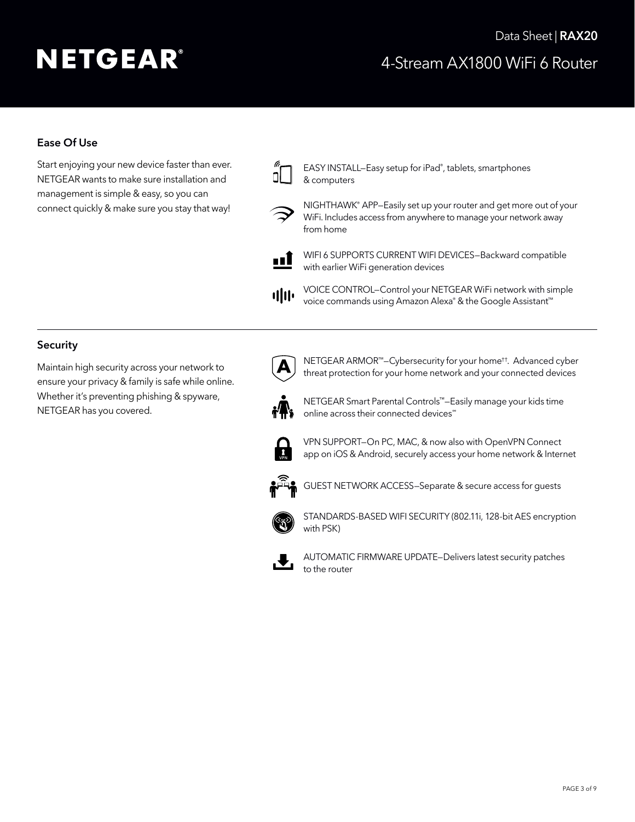# 4-Stream AX1800 WiFi 6 Router Data Sheet | RAX20

## Ease Of Use

Start enjoying your new device faster than ever. NETGEAR wants to make sure installation and management is simple & easy, so you can connect quickly & make sure you stay that way!

 $\mathbb{Z}$  EASY INSTALL–Easy setup for iPad®, tablets, smartphones & computers



NIGHTHAWK<sup>®</sup> APP–Easily set up your router and get more out of your WiFi. Includes access from anywhere to manage your network away from home



WIFI 6 SUPPORTS CURRENT WIFI DEVICES-Backward compatible with earlier WiFi generation devices

 VOICE CONTROL—Control your NETGEAR WiFi network with simple <sup>1</sup> II<sup>I</sup> voice commands using Amazon Alexa® & the Google Assistant<sup>™</sup>

### **Security**

Maintain high security across your network to ensure your privacy & family is safe while online. Whether it's preventing phishing & spyware, NETGEAR has you covered.



 NETGEAR ARMOR™—Cybersecurity for your home††. Advanced cyber threat protection for your home network and your connected devices



 NETGEAR Smart Parental Controls™—Easily manage your kids time online across their connected devices<sup>™</sup>



 VPN SUPPORT—On PC, MAC, & now also with OpenVPN Connect app on iOS & Android, securely access your home network & Internet



GUEST NETWORK ACCESS—Separate & secure access for guests



 STANDARDS-BASED WIFI SECURITY (802.11i, 128-bit AES encryption with PSK)



AUTOMATIC FIRMWARE UPDATE-Delivers latest security patches to the router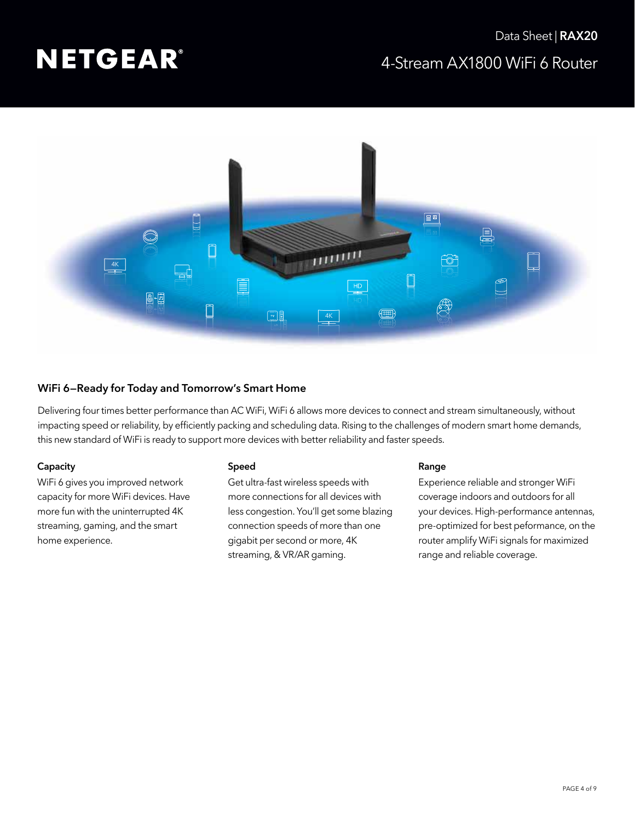

### WiFi 6—Ready for Today and Tomorrow's Smart Home

Delivering four times better performance than AC WiFi, WiFi 6 allows more devices to connect and stream simultaneously, without impacting speed or reliability, by efficiently packing and scheduling data. Rising to the challenges of modern smart home demands, this new standard of WiFi is ready to support more devices with better reliability and faster speeds.

#### **Capacity**

WiFi 6 gives you improved network capacity for more WiFi devices. Have more fun with the uninterrupted 4K streaming, gaming, and the smart home experience.

#### Speed

Get ultra-fast wireless speeds with more connections for all devices with less congestion. You'll get some blazing connection speeds of more than one gigabit per second or more, 4K streaming, & VR/AR gaming.

#### Range

Experience reliable and stronger WiFi coverage indoors and outdoors for all your devices. High-performance antennas, pre-optimized for best peformance, on the router amplify WiFi signals for maximized range and reliable coverage.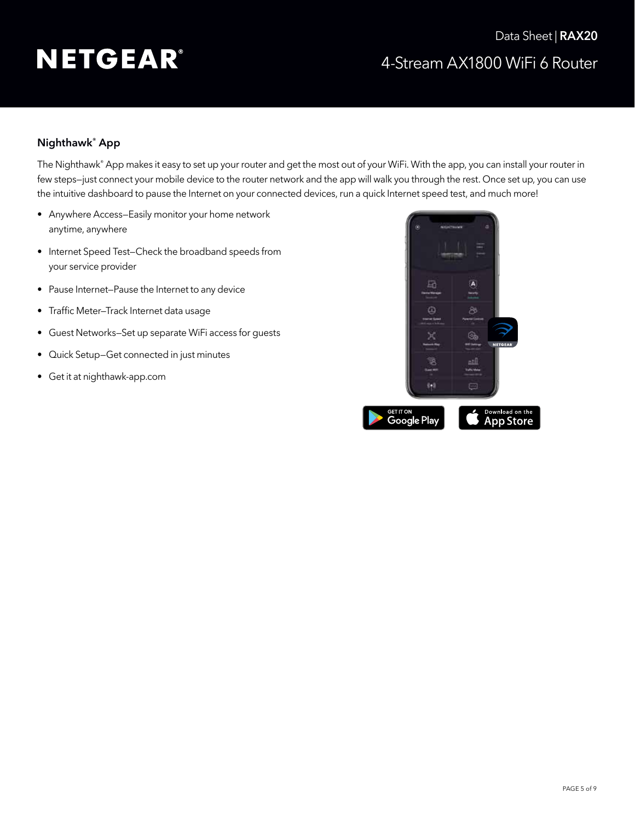# 4-Stream AX1800 WiFi 6 Router Data Sheet | RAX20

### Nighthawk® App

The Nighthawk® App makes it easy to set up your router and get the most out of your WiFi. With the app, you can install your router in few steps—just connect your mobile device to the router network and the app will walk you through the rest. Once set up, you can use the intuitive dashboard to pause the Internet on your connected devices, run a quick Internet speed test, and much more!

- Anywhere Access—Easily monitor your home network anytime, anywhere
- Internet Speed Test—Check the broadband speeds from your service provider
- Pause Internet—Pause the Internet to any device
- Traffic Meter-Track Internet data usage
- Guest Networks—Set up separate WiFi access for guests
- Quick Setup—Get connected in just minutes
- Get it at [nighthawk-app.com](http://www.nighthawk-app.com)

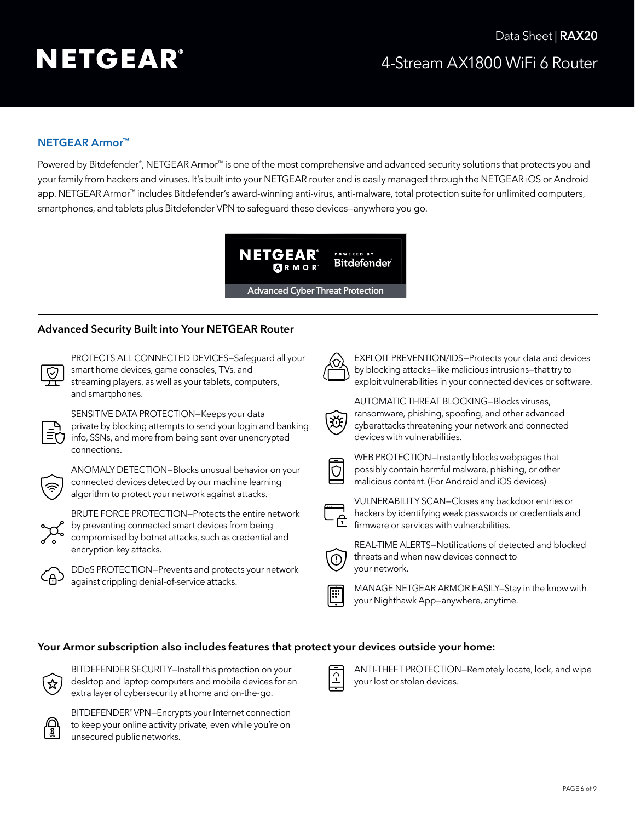## **NETGEAR Armor™**

Powered by Bitdefender®, NETGEAR Armor™ is one of the most comprehensive and advanced security solutions that protects you and your family from hackers and viruses. It's built into your NETGEAR router and is easily managed through the NETGEAR iOS or Android app. NETGEAR Armor™ includes Bitdefender's award-winning anti-virus, anti-malware, total protection suite for unlimited computers, smartphones, and tablets plus Bitdefender VPN to safeguard these devices—anywhere you go.



### **Advanced Security Built into Your NETGEAR Router**

PROTECTS ALL CONNECTED DEVICES—Safeguard all your smart home devices, game consoles, TVs, and streaming players, as well as your tablets, computers, and smartphones.



SENSITIVE DATA PROTECTION—Keeps your data private by blocking attempts to send your login and banking info, SSNs, and more from being sent over unencrypted connections.



ANOMALY DETECTION—Blocks unusual behavior on your connected devices detected by our machine learning algorithm to protect your network against attacks.



BRUTE FORCE PROTECTION—Protects the entire network by preventing connected smart devices from being compromised by botnet attacks, such as credential and encryption key attacks.



DDoS PROTECTION—Prevents and protects your network against crippling denial-of-service attacks.



EXPLOIT PREVENTION/IDS—Protects your data and devices by blocking attacks—like malicious intrusions—that try to exploit vulnerabilities in your connected devices or software.



AUTOMATIC THREAT BLOCKING—Blocks viruses, ransomware, phishing, spoofing, and other advanced cyberattacks threatening your network and connected devices with vulnerabilities.



WEB PROTECTION—Instantly blocks webpages that possibly contain harmful malware, phishing, or other malicious content. (For Android and iOS devices)



VULNERABILITY SCAN—Closes any backdoor entries or hackers by identifying weak passwords or credentials and firmware or services with vulnerabilities.



REAL-TIME ALERTS—Notifications of detected and blocked threats and when new devices connect to your network.



MANAGE NETGEAR ARMOR EASILY—Stay in the know with your Nighthawk App—anywhere, anytime.

#### **Your Armor subscription also includes features that protect your devices outside your home:**



BITDEFENDER SECURITY—Install this protection on your desktop and laptop computers and mobile devices for an extra layer of cybersecurity at home and on-the-go.



BITDEFENDER® VPN—Encrypts your Internet connection to keep your online activity private, even while you're on unsecured public networks.



ANTI-THEFT PROTECTION—Remotely locate, lock, and wipe your lost or stolen devices.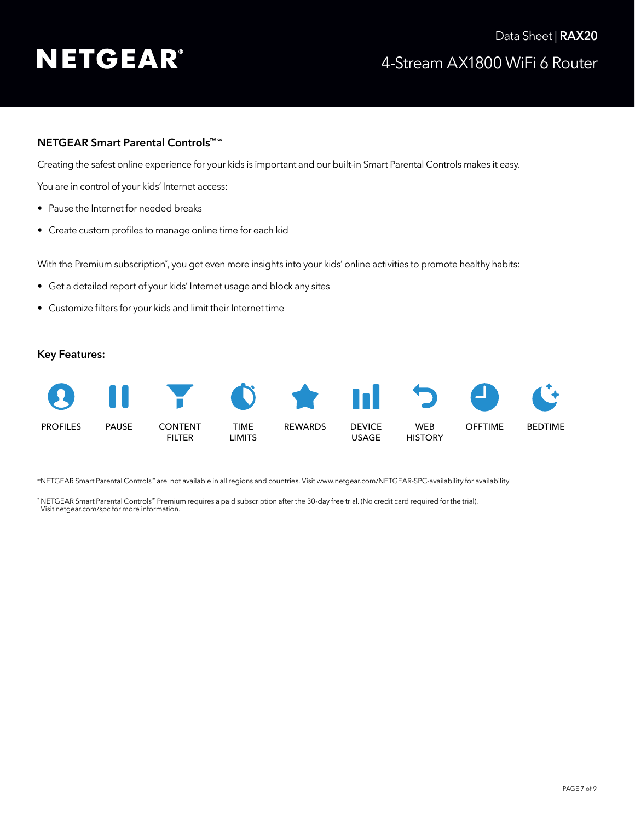# 4-Stream AX1800 WiFi 6 Router Data Sheet | RAX20

### **NETGEAR Smart Parental Controls™ <sup>∞</sup>**

Creating the safest online experience for your kids is important and our built-in Smart Parental Controls makes it easy.

You are in control of your kids' Internet access:

- Pause the Internet for needed breaks
- Create custom profiles to manage online time for each kid

With the Premium subscription\*, you get even more insights into your kids' online activities to promote healthy habits:

- Get a detailed report of your kids' Internet usage and block any sites
- • Customize filters for your kids and limit their Internet time

#### **Key Features:**



<sup>∞</sup>NETGEAR Smart Parental Controls™ are not available in all regions and countries. Visit [www.netgear.com/NETGEAR-SPC-availability](http://www.netgear.com/NETGEAR-SPC-availability) for availability.

\* NETGEAR Smart Parental Controls™ Premium requires a paid subscription after the 30-day free trial. (No credit card required for the trial). Visit [netgear.com/spc](http://netgear.com/spc) for more information.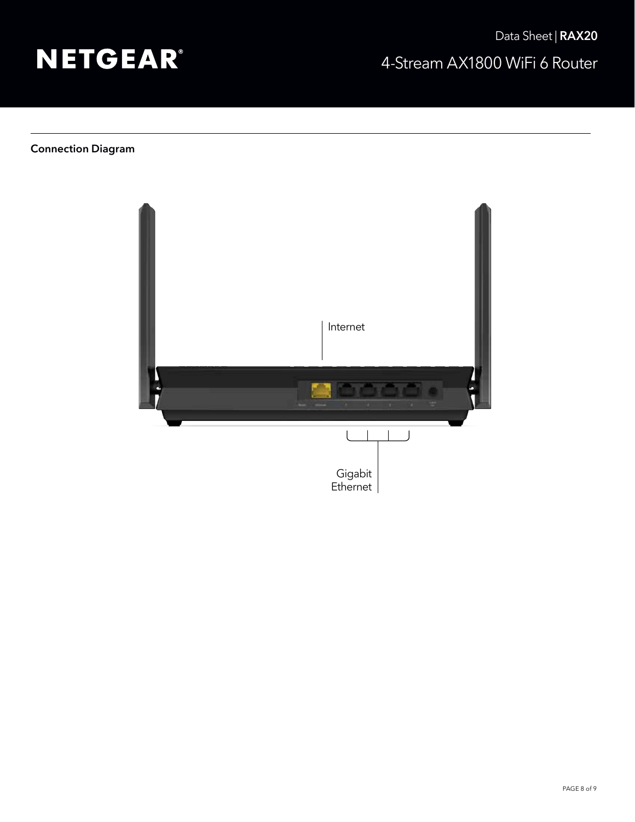

## Connection Diagram